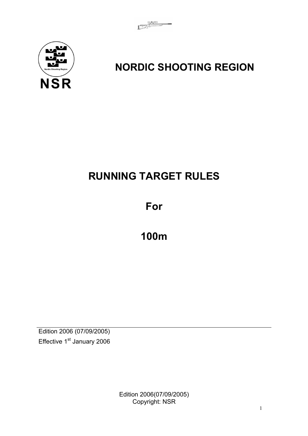

# **NORDIC SHOOTING REGION**

# **RUNNING TARGET RULES**

**For** 

**100m** 

Edition 2006 (07/09/2005) Effective 1<sup>st</sup> January 2006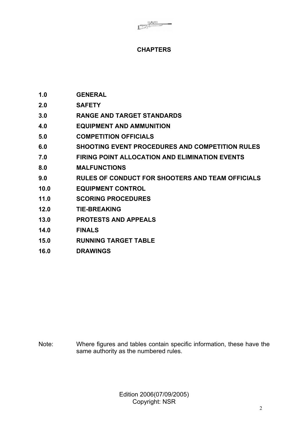# **CHAPTERS**

- **1.0 GENERAL**
- **2.0 SAFETY**
- **3.0 RANGE AND TARGET STANDARDS**
- **4.0 EQUIPMENT AND AMMUNITION**
- **5.0 COMPETITION OFFICIALS**
- **6.0 SHOOTING EVENT PROCEDURES AND COMPETITION RULES**
- **7.0 FIRING POINT ALLOCATION AND ELIMINATION EVENTS**
- **8.0 MALFUNCTIONS**
- **9.0 RULES OF CONDUCT FOR SHOOTERS AND TEAM OFFICIALS**
- **10.0 EQUIPMENT CONTROL**
- **11.0 SCORING PROCEDURES**
- **12.0 TIE-BREAKING**
- **13.0 PROTESTS AND APPEALS**
- **14.0 FINALS**
- **15.0 RUNNING TARGET TABLE**
- **16.0 DRAWINGS**

Note: Where figures and tables contain specific information, these have the same authority as the numbered rules.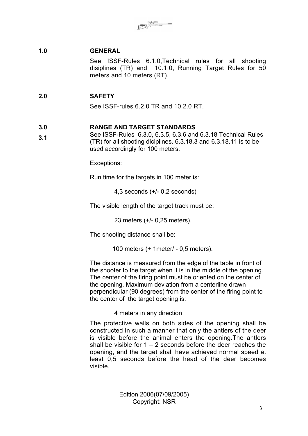## **1.0 GENERAL**

See ISSF-Rules 6.1.0,Technical rules for all shooting disiplines (TR) and 10.1.0, Running Target Rules for 50 meters and 10 meters (RT).

### **2.0 SAFETY**

See ISSF-rules 6.2.0 TR and 10.2.0 RT.

#### **3.0 RANGE AND TARGET STANDARDS**

**3.1** See ISSF-Rules 6.3.0, 6.3.5, 6.3.6 and 6.3.18 Technical Rules (TR) for all shooting diciplines. 6.3.18.3 and 6.3.18.11 is to be used accordingly for 100 meters.

Exceptions:

Run time for the targets in 100 meter is:

4,3 seconds (+/- 0,2 seconds)

The visible length of the target track must be:

23 meters (+/- 0,25 meters).

The shooting distance shall be:

100 meters (+ 1meter/ - 0,5 meters).

The distance is measured from the edge of the table in front of the shooter to the target when it is in the middle of the opening. The center of the firing point must be oriented on the center of the opening. Maximum deviation from a centerline drawn perpendicular (90 degrees) from the center of the firing point to the center of the target opening is:

#### 4 meters in any direction

The protective walls on both sides of the opening shall be constructed in such a manner that only the antlers of the deer is visible before the animal enters the opening.The antlers shall be visible for  $1 - 2$  seconds before the deer reaches the opening, and the target shall have achieved normal speed at least 0,5 seconds before the head of the deer becomes visible.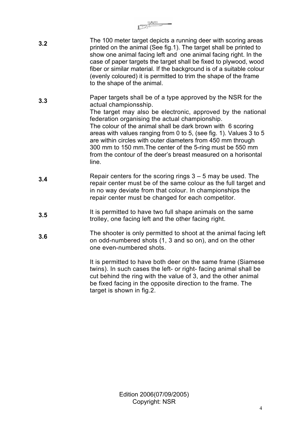- **3.2** The 100 meter target depicts a running deer with scoring areas printed on the animal (See fig.1). The target shall be printed to show one animal facing left and one animal facing right. In the case of paper targets the target shall be fixed to plywood, wood fiber or similar material. If the background is of a suitable colour (evenly coloured) it is permitted to trim the shape of the frame to the shape of the animal.
- **3.3** Paper targets shall be of a type approved by the NSR for the actual championsship. The target may also be electronic, approved by the national federation organising the actual championship. The colour of the animal shall be dark brown with 6 scoring areas with values ranging from 0 to 5, (see fig. 1). Values 3 to 5 are within circles with outer diameters from 450 mm through 300 mm to 150 mm.The center of the 5-ring must be 550 mm from the contour of the deer's breast measured on a horisontal line.
- **3.4** Repair centers for the scoring rings  $3 5$  may be used. The repair center must be of the same colour as the full target and in no way deviate from that colour. In championships the repair center must be changed for each competitor.
- **3.5** It is permitted to have two full shape animals on the same trolley, one facing left and the other facing right.
- **3.6** The shooter is only permitted to shoot at the animal facing left on odd-numbered shots (1, 3 and so on), and on the other one even-numbered shots.

It is permitted to have both deer on the same frame (Siamese twins). In such cases the left- or right- facing animal shall be cut behind the ring with the value of 3, and the other animal be fixed facing in the opposite direction to the frame. The target is shown in fig.2.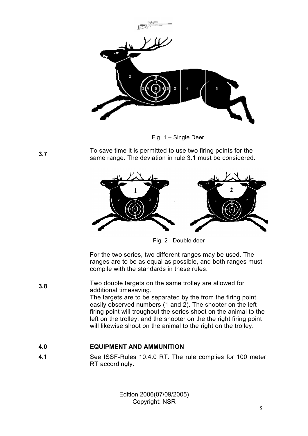

Fig. 1 – Single Deer

**3.7** To save time it is permitted to use two firing points for the same range. The deviation in rule 3.1 must be considered.



Fig. 2 Double deer

For the two series, two different ranges may be used. The ranges are to be as equal as possible, and both ranges must compile with the standards in these rules.

**3.8** Two double targets on the same trolley are allowed for additional timesaving. The targets are to be separated by the from the firing point easily observed numbers (1 and 2). The shooter on the left firing point will troughout the series shoot on the animal to the left on the trolley, and the shooter on the the right firing point will likewise shoot on the animal to the right on the trolley.

# **4.0 EQUIPMENT AND AMMUNITION**

**4.1** See ISSF-Rules 10.4.0 RT. The rule complies for 100 meter RT accordingly.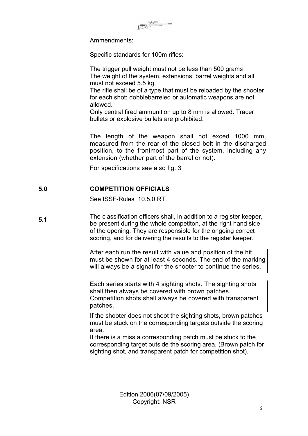Ammendments:

Specific standards for 100m rifles:

The trigger pull weight must not be less than 500 grams The weight of the system, extensions, barrel weights and all must not exceed 5.5 kg.

The rifle shall be of a type that must be reloaded by the shooter for each shot; dobblebarreled or automatic weapons are not allowed.

Only central fired ammunition up to 8 mm is allowed. Tracer bullets or explosive bullets are prohibited.

The length of the weapon shall not exced 1000 mm, measured from the rear of the closed bolt in the discharged position, to the frontmost part of the system, including any extension (whether part of the barrel or not).

For specifications see also fig. 3

### **5.0 COMPETITION OFFICIALS**

See ISSF-Rules 10.5.0 RT.

**5.1** The classification officers shall, in addition to a register keeper, be present during the whole competiton, at the right hand side of the opening. They are responsible for the ongoing correct scoring, and for delivering the results to the register keeper.

> After each run the result with value and position of the hit must be shown for at least 4 seconds. The end of the marking will always be a signal for the shooter to continue the series.

Each series starts with 4 sighting shots. The sighting shots shall then always be covered with brown patches. Competition shots shall always be covered with transparent patches.

If the shooter does not shoot the sighting shots, brown patches must be stuck on the corresponding targets outside the scoring area.

If there is a miss a corresponding patch must be stuck to the corresponding target outside the scoring area. (Brown patch for sighting shot, and transparent patch for competition shot).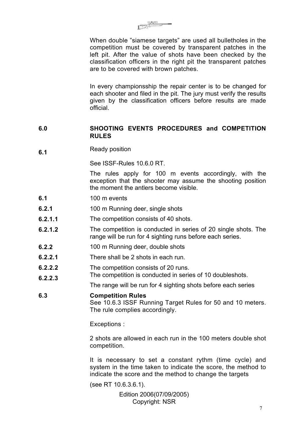When double "siamese targets" are used all bulletholes in the competition must be covered by transparent patches in the left pit. After the value of shots have been checked by the classification officers in the right pit the transparent patches are to be covered with brown patches.

In every championsship the repair center is to be changed for each shooter and filed in the pit. The jury must verify the results given by the classification officers before results are made official.

#### **6.0 SHOOTING EVENTS PROCEDURES and COMPETITION RULES**

**6.1** Ready position

See ISSE-Rules 10.6.0 RT.

The rules apply for 100 m events accordingly, with the exception that the shooter may assume the shooting position the moment the antlers become visible.

- **6.1** 100 m events
- **6.2.1** 100 m Running deer, single shots
- **6.2.1.1** The competition consists of 40 shots.
- **6.2.1.2** The competition is conducted in series of 20 single shots. The range will be run for 4 sighting runs before each series.
- **6.2.2** 100 m Running deer, double shots
- **6.2.2.1** There shall be 2 shots in each run.
- **6.2.2.2** The competition consists of 20 runs.
- **6.2.2.3** The competition is conducted in series of 10 doubleshots.

The range will be run for 4 sighting shots before each series

#### **6.3 Competition Rules**

See 10.6.3 ISSF Running Target Rules for 50 and 10 meters. The rule complies accordingly.

Exceptions :

2 shots are allowed in each run in the 100 meters double shot competition.

It is necessary to set a constant rythm (time cycle) and system in the time taken to indicate the score, the method to indicate the score and the method to change the targets

(see RT 10.6.3.6.1).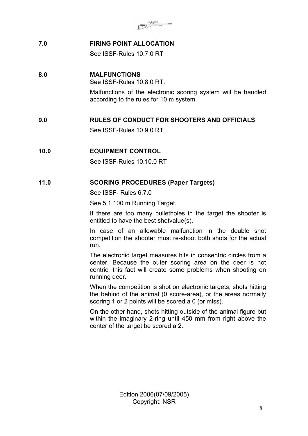|     | $\frac{1}{\sqrt{2}}$           |
|-----|--------------------------------|
| 7.0 | <b>FIRING POINT ALLOCATION</b> |
|     | See ISSF-Rules 10.7.0 RT       |
| 8.0 | <b>MALFUNCTIONS</b>            |

See ISSF-Rules 10.8.0 RT. Malfunctions of the electronic scoring system will be handled according to the rules for 10 m system.

# **9.0 RULES OF CONDUCT FOR SHOOTERS AND OFFICIALS**

See ISSF-Rules 10.9.0 RT

# **10.0 EQUIPMENT CONTROL**

See ISSF-Rules 10.10.0 RT

#### **11.0 SCORING PROCEDURES (Paper Targets)**

See ISSF- Rules 6.7.0

See 5.1 100 m Running Target.

If there are too many bulletholes in the target the shooter is entitled to have the best shotvalue(s).

In case of an allowable malfunction in the double shot competition the shooter must re-shoot both shots for the actual run.

The electronic target measures hits in consentric circles from a center. Because the outer scoring area on the deer is not centric, this fact will create some problems when shooting on running deer.

When the competition is shot on electronic targets, shots hitting the behind of the animal (0 score-area), or the areas normally scoring 1 or 2 points will be scored a 0 (or miss).

On the other hand, shots hitting outside of the animal figure but within the imaginary 2-ring until 450 mm from right above the center of the target be scored a 2.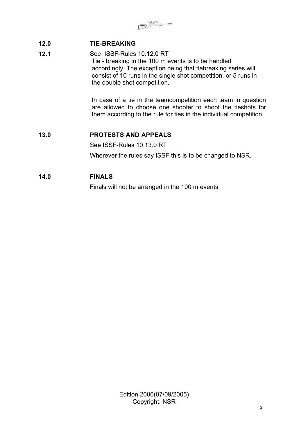# **12.0 TIE-BREAKING**

**12.1 See ISSF-Rules 10.12.0 RT** Tie - breaking in the 100 m events is to be handled accordingly. The exception being that tiebreaking series will consist of 10 runs in the single shot competition, or 5 runs in the double shot competition.

> In case of a tie in the teamcompetition each team in question are allowed to choose one shooter to shoot the tieshots for them according to the rule for ties in the individual competition.

# **13.0 PROTESTS AND APPEALS**

See ISSF-Rules 10.13.0 RT

Wherever the rules say ISSF this is to be changed to NSR.

# **14.0 FINALS**

Finals will not be arranged in the 100 m events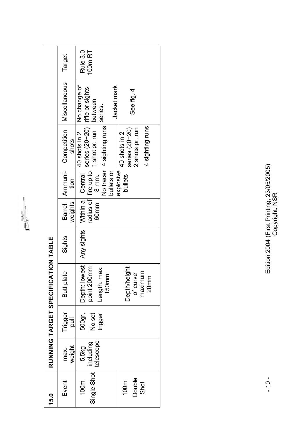| 15.0                                          |                                 |                                      | RUNNING TARGET SPECIFICATION TABLE                                                                                                           |        |         |                                                                          |                                                                                                                                                                                                                    |                                                      |                     |
|-----------------------------------------------|---------------------------------|--------------------------------------|----------------------------------------------------------------------------------------------------------------------------------------------|--------|---------|--------------------------------------------------------------------------|--------------------------------------------------------------------------------------------------------------------------------------------------------------------------------------------------------------------|------------------------------------------------------|---------------------|
| Event                                         | weight<br>max.                  | Trigger<br>$\overline{\overline{5}}$ | Butt plate                                                                                                                                   | Sights | weights | Barrel   Ammuni-<br>tion                                                 | Competition<br>shots                                                                                                                                                                                               | Miscellaneous                                        | Target              |
| Single Shot<br>Double<br>100m<br>Shot<br>100m | telescope<br>including<br>5.5kg | No set<br>trigger<br>500gr.          | Depth: lowest   Any sights<br>point 200mm<br>Depth/height<br>max.<br>maximum<br>of curve<br>150 <sub>mm</sub><br>20 <sub>mm</sub><br>Length: |        | 60mm    | Within a Central<br>explosive<br>bullets or<br>bullets<br>$8 \text{ mm}$ | radius of rire up to 1 series (20+20) infle or sights<br>60mm 8 mm 1 shot pr. run between<br>No tracer 4 sighting runs<br>4 sighting runs<br>series $(20+20)$<br>2 shots pr. run<br>40 shots in 2<br>40 shots in 2 | No change of<br>Jacket mark<br>See fig. 4<br>series. | Rule 3.0<br>100m RT |

**CONSTRUCTION** 

Edition 2004 (First Printing, 23/05/2005)<br>Copyright: NSR Edition 2004 (First Printing, 23/05/2005) Copyright: NSR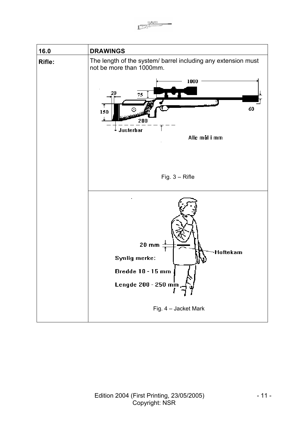$\int_{-\infty}^{\infty} \frac{P_A \Phi_A Q}{\sqrt{2\pi}}$ 

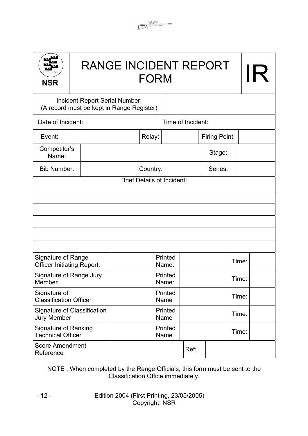| <b>NSR</b>                                              |  | <b>RANGE INCIDENT REPORT</b><br><b>FORM</b> |                                   |       |         |                   |  |                      |       |  |
|---------------------------------------------------------|--|---------------------------------------------|-----------------------------------|-------|---------|-------------------|--|----------------------|-------|--|
| (A record must be kept in Range Register)               |  | Incident Report Serial Number:              |                                   |       |         |                   |  |                      |       |  |
| Date of Incident:                                       |  |                                             |                                   |       |         | Time of Incident: |  |                      |       |  |
| Event:                                                  |  |                                             | Relay:                            |       |         |                   |  | <b>Firing Point:</b> |       |  |
| Competitor's<br>Name:                                   |  |                                             |                                   |       |         |                   |  | Stage:               |       |  |
| <b>Bib Number:</b>                                      |  |                                             | Country:                          |       |         |                   |  | Series:              |       |  |
|                                                         |  |                                             | <b>Brief Details of Incident:</b> |       |         |                   |  |                      |       |  |
|                                                         |  |                                             |                                   |       |         |                   |  |                      |       |  |
|                                                         |  |                                             |                                   |       |         |                   |  |                      |       |  |
|                                                         |  |                                             |                                   |       |         |                   |  |                      |       |  |
|                                                         |  |                                             |                                   |       |         |                   |  |                      |       |  |
| Signature of Range<br><b>Officer Initiating Report:</b> |  |                                             |                                   | Name: | Printed |                   |  |                      | Time: |  |
| Signature of Range Jury<br>Member                       |  |                                             |                                   | Name: | Printed |                   |  |                      | Time: |  |
| Signature of<br><b>Classification Officer</b>           |  |                                             |                                   | Name  | Printed |                   |  |                      | Time: |  |
| Signature of Classification<br><b>Jury Member</b>       |  |                                             |                                   | Name  | Printed |                   |  |                      | Time: |  |
| <b>Signature of Ranking</b><br><b>Technical Officer</b> |  |                                             |                                   | Name  | Printed |                   |  |                      | Time: |  |
| <b>Score Amendment</b><br>Reference                     |  |                                             |                                   |       |         | Ref:              |  |                      |       |  |

 $\begin{array}{c}\n\begin{array}{c}\n\frac{1}{2} & \frac{1}{2} \\
\frac{1}{2} & \frac{1}{2} \\
\frac{1}{2} & \frac{1}{2} \\
\frac{1}{2} & \frac{1}{2} \\
\frac{1}{2} & \frac{1}{2} \\
\frac{1}{2} & \frac{1}{2} \\
\frac{1}{2} & \frac{1}{2} \\
\frac{1}{2} & \frac{1}{2} \\
\frac{1}{2} & \frac{1}{2} \\
\frac{1}{2} & \frac{1}{2} \\
\frac{1}{2} & \frac{1}{2} \\
\frac{1}{2} & \frac{1}{2} \\
\frac{1}{2} & \frac{1$ 

NOTE : When completed by the Range Officials, this form must be sent to the Classification Office immediately.

> Edition 2004 (First Printing, 23/05/2005) Copyright: NSR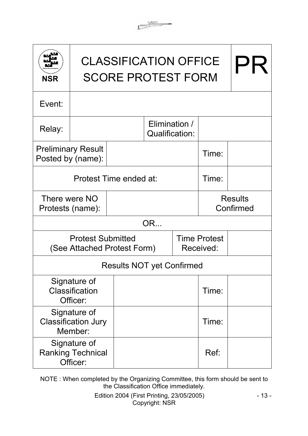| <b>NSR</b> |                                                       | <b>CLASSIFICATION OFFICE</b><br><b>SCORE PROTEST FORM</b> |                                                                 | $\mathsf{H}$ |       |                             |  |
|------------|-------------------------------------------------------|-----------------------------------------------------------|-----------------------------------------------------------------|--------------|-------|-----------------------------|--|
| Event:     |                                                       |                                                           |                                                                 |              |       |                             |  |
| Relay:     |                                                       |                                                           |                                                                 |              |       |                             |  |
|            | <b>Preliminary Result</b><br>Posted by (name):        |                                                           |                                                                 |              | Time: |                             |  |
|            |                                                       | Protest Time ended at:                                    |                                                                 |              | Time: |                             |  |
|            | There were NO<br>Protests (name):                     |                                                           |                                                                 |              |       | <b>Results</b><br>Confirmed |  |
|            |                                                       |                                                           | OR                                                              |              |       |                             |  |
|            | <b>Protest Submitted</b>                              |                                                           | <b>Time Protest</b><br>(See Attached Protest Form)<br>Received: |              |       |                             |  |
|            |                                                       | <b>Results NOT yet Confirmed</b>                          |                                                                 |              |       |                             |  |
|            | Signature of<br>Classification<br>Officer:            |                                                           |                                                                 |              | Time: |                             |  |
|            | Signature of<br><b>Classification Jury</b><br>Member: |                                                           |                                                                 |              | Time: |                             |  |
|            | Signature of<br><b>Ranking Technical</b><br>Officer:  |                                                           |                                                                 |              | Ref:  |                             |  |

 $\begin{array}{c}\n\begin{array}{ccc}\n\frac{1}{2} & \frac{1}{2} & \frac{1}{2} \\
\frac{1}{2} & \frac{1}{2} & \frac{1}{2} \\
\frac{1}{2} & \frac{1}{2} & \frac{1}{2} \\
\frac{1}{2} & \frac{1}{2} & \frac{1}{2} \\
\frac{1}{2} & \frac{1}{2} & \frac{1}{2} \\
\frac{1}{2} & \frac{1}{2} & \frac{1}{2} \\
\frac{1}{2} & \frac{1}{2} & \frac{1}{2} \\
\frac{1}{2} & \frac{1}{2} & \frac{1}{2} \\
\frac{1}{2} & \frac{1$ 

NOTE : When completed by the Organizing Committee, this form should be sent to the Classification Office immediately.

> Edition 2004 (First Printing, 23/05/2005) Copyright: NSR